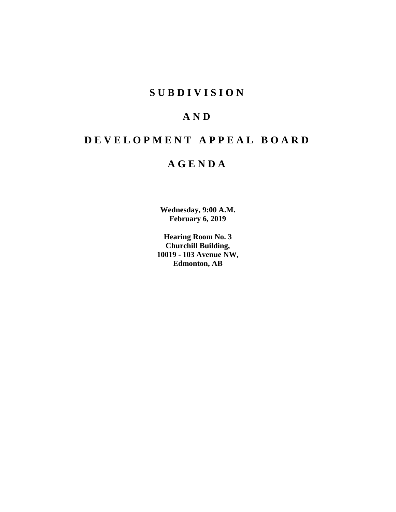# **SUBDIVISION**

# **AND**

# **DEVELOPMENT APPEAL BOARD**

# **AGENDA**

**Wednesday, 9:00 A.M. February 6, 2019**

**Hearing Room No. 3 Churchill Building, 10019 - 103 Avenue NW, Edmonton, AB**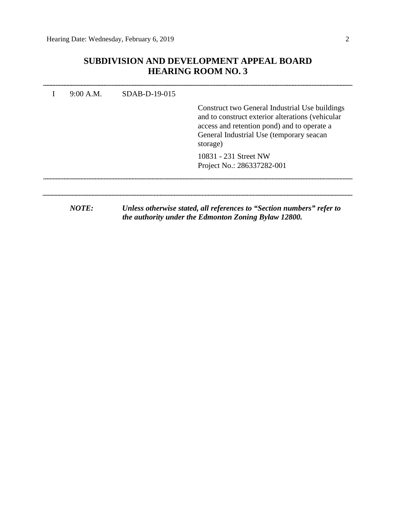# **SUBDIVISION AND DEVELOPMENT APPEAL BOARD HEARING ROOM NO. 3**

| 9:00 A.M. | $SDAB-D-19-015$ | Construct two General Industrial Use buildings<br>and to construct exterior alterations (vehicular<br>access and retention pond) and to operate a<br>General Industrial Use (temporary seacan<br>storage) |
|-----------|-----------------|-----------------------------------------------------------------------------------------------------------------------------------------------------------------------------------------------------------|
|           |                 | 10831 - 231 Street NW<br>Project No.: 286337282-001                                                                                                                                                       |
| NOTE:     |                 | Unless otherwise stated, all references to "Section numbers" refer to<br>the authority under the Edmonton Zoning Bylaw 12800.                                                                             |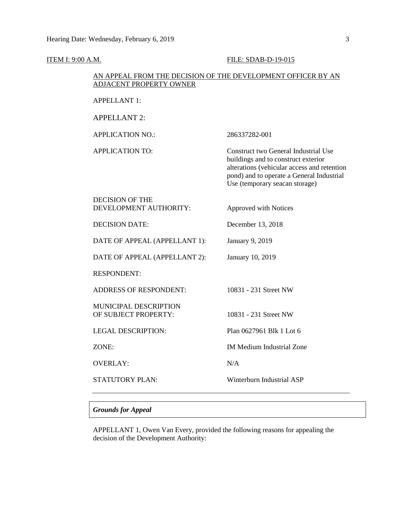**ITEM I: 9:00 A.M. FILE: SDAB-D-19-015** 

# AN APPEAL FROM THE DECISION OF THE DEVELOPMENT OFFICER BY AN ADJACENT PROPERTY OWNER APPELLANT 1: APPELLANT 2: APPLICATION NO.: 286337282-001 APPLICATION TO: Construct two General Industrial Use buildings and to construct exterior alterations (vehicular access and retention pond) and to operate a General Industrial Use (temporary seacan storage) DECISION OF THE DEVELOPMENT AUTHORITY: Approved with Notices DECISION DATE: December 13, 2018 DATE OF APPEAL (APPELLANT 1): January 9, 2019 DATE OF APPEAL (APPELLANT 2): January 10, 2019 RESPONDENT: ADDRESS OF RESPONDENT: 10831 - 231 Street NW MUNICIPAL DESCRIPTION OF SUBJECT PROPERTY: 10831 - 231 Street NW LEGAL DESCRIPTION: Plan 0627961 Blk 1 Lot 6 ZONE: IM Medium Industrial Zone OVERLAY: N/A STATUTORY PLAN: Winterburn Industrial ASP

# *Grounds for Appeal*

APPELLANT 1, Owen Van Every, provided the following reasons for appealing the decision of the Development Authority: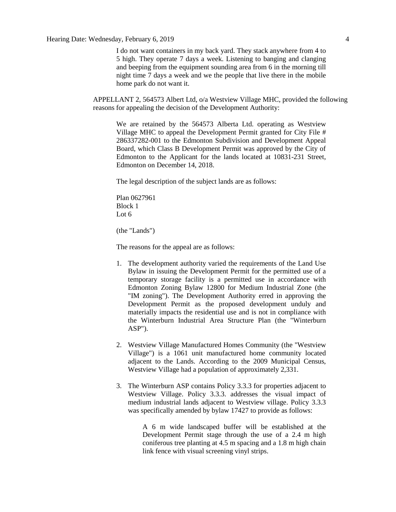I do not want containers in my back yard. They stack anywhere from 4 to 5 high. They operate 7 days a week. Listening to banging and clanging and beeping from the equipment sounding area from 6 in the morning till night time 7 days a week and we the people that live there in the mobile home park do not want it.

APPELLANT 2, 564573 Albert Ltd, o/a Westview Village MHC, provided the following reasons for appealing the decision of the Development Authority:

We are retained by the 564573 Alberta Ltd. operating as Westview Village MHC to appeal the Development Permit granted for City File # 286337282-001 to the Edmonton Subdivision and Development Appeal Board, which Class B Development Permit was approved by the City of Edmonton to the Applicant for the lands located at 10831-231 Street, Edmonton on December 14, 2018.

The legal description of the subject lands are as follows:

Plan 0627961 Block 1 Lot 6

(the "Lands")

The reasons for the appeal are as follows:

- 1. The development authority varied the requirements of the Land Use Bylaw in issuing the Development Permit for the permitted use of a temporary storage facility is a permitted use in accordance with Edmonton Zoning Bylaw 12800 for Medium Industrial Zone (the "IM zoning"). The Development Authority erred in approving the Development Permit as the proposed development unduly and materially impacts the residential use and is not in compliance with the Winterburn Industrial Area Structure Plan (the "Winterburn ASP").
- 2. Westview Village Manufactured Homes Community (the "Westview Village") is a 1061 unit manufactured home community located adjacent to the Lands. According to the 2009 Municipal Census, Westview Village had a population of approximately 2,331.
- 3. The Winterburn ASP contains Policy 3.3.3 for properties adjacent to Westview Village. Policy 3.3.3. addresses the visual impact of medium industrial lands adjacent to Westview village. Policy 3.3.3 was specifically amended by bylaw 17427 to provide as follows:

A 6 m wide landscaped buffer will be established at the Development Permit stage through the use of a 2.4 m high coniferous tree planting at 4.5 m spacing and a 1.8 m high chain link fence with visual screening vinyl strips.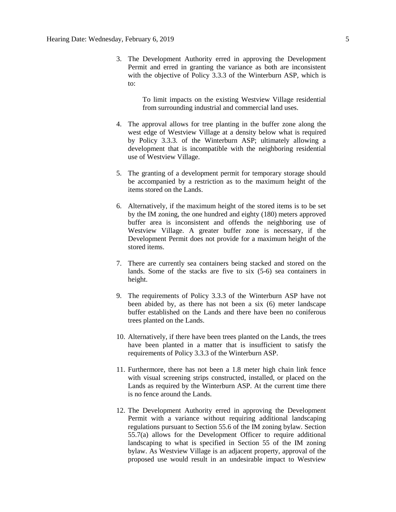3. The Development Authority erred in approving the Development Permit and erred in granting the variance as both are inconsistent with the objective of Policy 3.3.3 of the Winterburn ASP, which is to:

> To limit impacts on the existing Westview Village residential from surrounding industrial and commercial land uses.

- 4. The approval allows for tree planting in the buffer zone along the west edge of Westview Village at a density below what is required by Policy 3.3.3. of the Winterburn ASP; ultimately allowing a development that is incompatible with the neighboring residential use of Westview Village.
- 5. The granting of a development permit for temporary storage should be accompanied by a restriction as to the maximum height of the items stored on the Lands.
- 6. Alternatively, if the maximum height of the stored items is to be set by the IM zoning, the one hundred and eighty (180) meters approved buffer area is inconsistent and offends the neighboring use of Westview Village. A greater buffer zone is necessary, if the Development Permit does not provide for a maximum height of the stored items.
- 7. There are currently sea containers being stacked and stored on the lands. Some of the stacks are five to six (5-6) sea containers in height.
- 9. The requirements of Policy 3.3.3 of the Winterburn ASP have not been abided by, as there has not been a six (6) meter landscape buffer established on the Lands and there have been no coniferous trees planted on the Lands.
- 10. Alternatively, if there have been trees planted on the Lands, the trees have been planted in a matter that is insufficient to satisfy the requirements of Policy 3.3.3 of the Winterburn ASP.
- 11. Furthermore, there has not been a 1.8 meter high chain link fence with visual screening strips constructed, installed, or placed on the Lands as required by the Winterburn ASP. At the current time there is no fence around the Lands.
- 12. The Development Authority erred in approving the Development Permit with a variance without requiring additional landscaping regulations pursuant to Section 55.6 of the IM zoning bylaw. Section 55.7(a) allows for the Development Officer to require additional landscaping to what is specified in Section 55 of the IM zoning bylaw. As Westview Village is an adjacent property, approval of the proposed use would result in an undesirable impact to Westview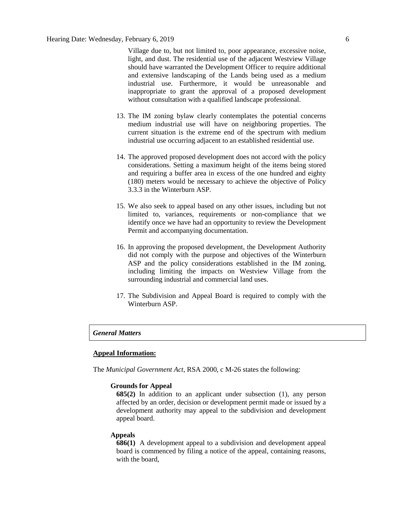Village due to, but not limited to, poor appearance, excessive noise, light, and dust. The residential use of the adjacent Westview Village should have warranted the Development Officer to require additional and extensive landscaping of the Lands being used as a medium industrial use. Furthermore, it would be unreasonable and inappropriate to grant the approval of a proposed development without consultation with a qualified landscape professional.

- 13. The IM zoning bylaw clearly contemplates the potential concerns medium industrial use will have on neighboring properties. The current situation is the extreme end of the spectrum with medium industrial use occurring adjacent to an established residential use.
- 14. The approved proposed development does not accord with the policy considerations. Setting a maximum height of the items being stored and requiring a buffer area in excess of the one hundred and eighty (180) meters would be necessary to achieve the objective of Policy 3.3.3 in the Winterburn ASP.
- 15. We also seek to appeal based on any other issues, including but not limited to, variances, requirements or non-compliance that we identify once we have had an opportunity to review the Development Permit and accompanying documentation.
- 16. In approving the proposed development, the Development Authority did not comply with the purpose and objectives of the Winterburn ASP and the policy considerations established in the IM zoning, including limiting the impacts on Westview Village from the surrounding industrial and commercial land uses.
- 17. The Subdivision and Appeal Board is required to comply with the Winterburn ASP.

#### *General Matters*

#### **Appeal Information:**

The *Municipal Government Act*, RSA 2000, c M-26 states the following:

### **Grounds for Appeal**

**685(2)** In addition to an applicant under subsection (1), any person affected by an order, decision or development permit made or issued by a development authority may appeal to the subdivision and development appeal board.

#### **Appeals**

**686(1)** A development appeal to a subdivision and development appeal board is commenced by filing a notice of the appeal, containing reasons, with the board,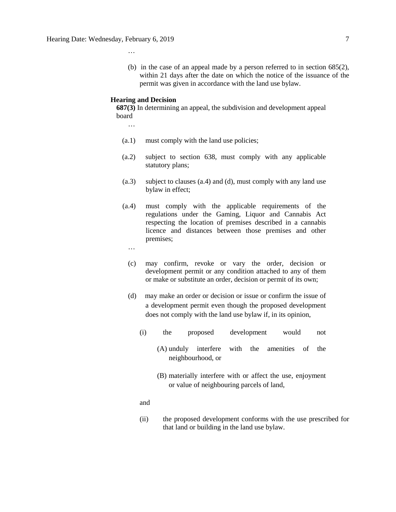(b) in the case of an appeal made by a person referred to in section 685(2), within 21 days after the date on which the notice of the issuance of the permit was given in accordance with the land use bylaw.

### **Hearing and Decision**

**687(3)** In determining an appeal, the subdivision and development appeal board

…

…

- (a.1) must comply with the land use policies;
- (a.2) subject to section 638, must comply with any applicable statutory plans;
- (a.3) subject to clauses (a.4) and (d), must comply with any land use bylaw in effect;
- (a.4) must comply with the applicable requirements of the regulations under the Gaming, Liquor and Cannabis Act respecting the location of premises described in a cannabis licence and distances between those premises and other premises;
	- …
	- (c) may confirm, revoke or vary the order, decision or development permit or any condition attached to any of them or make or substitute an order, decision or permit of its own;
	- (d) may make an order or decision or issue or confirm the issue of a development permit even though the proposed development does not comply with the land use bylaw if, in its opinion,
		- (i) the proposed development would not
			- (A) unduly interfere with the amenities of the neighbourhood, or
			- (B) materially interfere with or affect the use, enjoyment or value of neighbouring parcels of land,

and

(ii) the proposed development conforms with the use prescribed for that land or building in the land use bylaw.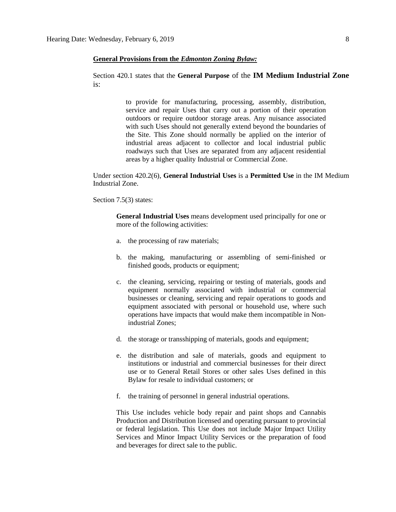#### **General Provisions from the** *Edmonton Zoning Bylaw:*

# Section 420.1 states that the **General Purpose** of the **IM Medium Industrial Zone** is:

to provide for manufacturing, processing, assembly, distribution, service and repair Uses that carry out a portion of their operation outdoors or require outdoor storage areas. Any nuisance associated with such Uses should not generally extend beyond the boundaries of the Site. This Zone should normally be applied on the interior of industrial areas adjacent to collector and local industrial public roadways such that Uses are separated from any adjacent residential areas by a higher quality Industrial or Commercial Zone.

Under section 420.2(6), **General Industrial Uses** is a **Permitted Use** in the IM Medium Industrial Zone.

#### Section 7.5(3) states:

**General Industrial Uses** means development used principally for one or more of the following activities:

- a. the processing of raw materials;
- b. the making, manufacturing or assembling of semi-finished or finished goods, products or equipment;
- c. the cleaning, servicing, repairing or testing of materials, goods and equipment normally associated with industrial or commercial businesses or cleaning, servicing and repair operations to goods and equipment associated with personal or household use, where such operations have impacts that would make them incompatible in Nonindustrial Zones;
- d. the storage or transshipping of materials, goods and equipment;
- e. the distribution and sale of materials, goods and equipment to institutions or industrial and commercial businesses for their direct use or to General Retail Stores or other sales Uses defined in this Bylaw for resale to individual customers; or
- f. the training of personnel in general industrial operations.

This Use includes vehicle body repair and paint shops and Cannabis Production and Distribution licensed and operating pursuant to provincial or federal legislation. This Use does not include Major Impact Utility Services and Minor Impact Utility Services or the preparation of food and beverages for direct sale to the public.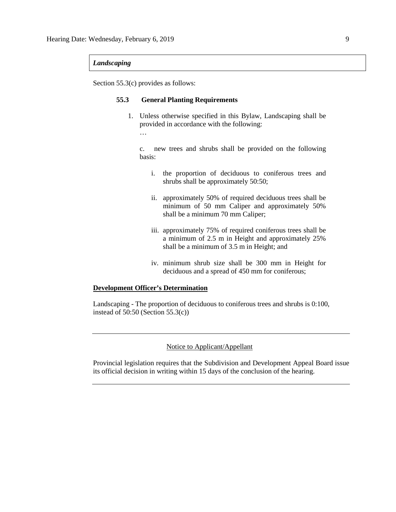### *Landscaping*

Section 55.3(c) provides as follows:

### **55.3 General Planting Requirements**

1. Unless otherwise specified in this Bylaw, Landscaping shall be provided in accordance with the following:

…

c. new trees and shrubs shall be provided on the following basis:

- i. the proportion of deciduous to coniferous trees and shrubs shall be approximately 50:50;
- ii. approximately 50% of required deciduous trees shall be minimum of 50 mm Caliper and approximately 50% shall be a minimum 70 mm Caliper;
- iii. approximately 75% of required coniferous trees shall be a minimum of 2.5 m in Height and approximately 25% shall be a minimum of 3.5 m in Height; and
- iv. minimum shrub size shall be 300 mm in Height for deciduous and a spread of 450 mm for coniferous;

### **Development Officer's Determination**

Landscaping - The proportion of deciduous to coniferous trees and shrubs is 0:100, instead of 50:50 (Section 55.3(c))

# Notice to Applicant/Appellant

Provincial legislation requires that the Subdivision and Development Appeal Board issue its official decision in writing within 15 days of the conclusion of the hearing.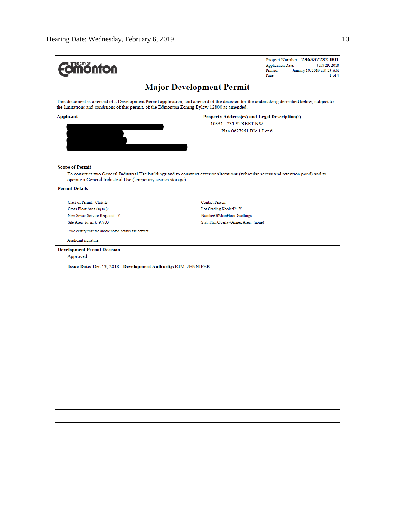| <b>Imonton</b>                                                                                | Project Number: 286337282-001<br><b>Application Date:</b><br>JUN 29, 2018<br>Printed:<br>January 10, 2019 at 9:23 AM<br>Page:<br>$1$ of $4$ |
|-----------------------------------------------------------------------------------------------|---------------------------------------------------------------------------------------------------------------------------------------------|
|                                                                                               | <b>Major Development Permit</b>                                                                                                             |
| the limitations and conditions of this permit, of the Edmonton Zoning Bylaw 12800 as amended. | This document is a record of a Development Permit application, and a record of the decision for the undertaking described below, subject to |
| Applicant                                                                                     | Property Address(es) and Legal Description(s)<br>10831 - 231 STREET NW                                                                      |
|                                                                                               | Plan 0627961 Blk 1 Lot 6                                                                                                                    |
| <b>Scope of Permit</b><br>operate a General Industrial Use (temporary seacan storage).        | To construct two General Industrial Use buildings and to construct exterior alterations (vehicular access and retention pond) and to        |
| <b>Permit Details</b>                                                                         |                                                                                                                                             |
| Class of Permit: Class B<br>Gross Floor Area (sq.m.):                                         | <b>Contact Person:</b><br>Lot Grading Needed?: Y                                                                                            |
| New Sewer Service Required: Y<br>Site Area (sq. m.): 97703                                    | NumberOfMainFloorDwellings:<br>Stat. Plan Overlay/Annex Area: (none)                                                                        |
| I/We certify that the above noted details are correct.<br>Applicant signature:                |                                                                                                                                             |
| <b>Development Permit Decision</b><br>Approved                                                |                                                                                                                                             |
| Issue Date: Dec 13, 2018 Development Authority: KIM, JENNIFER                                 |                                                                                                                                             |
|                                                                                               |                                                                                                                                             |
|                                                                                               |                                                                                                                                             |
|                                                                                               |                                                                                                                                             |
|                                                                                               |                                                                                                                                             |
|                                                                                               |                                                                                                                                             |
|                                                                                               |                                                                                                                                             |
|                                                                                               |                                                                                                                                             |
|                                                                                               |                                                                                                                                             |
|                                                                                               |                                                                                                                                             |
|                                                                                               |                                                                                                                                             |
|                                                                                               |                                                                                                                                             |
|                                                                                               |                                                                                                                                             |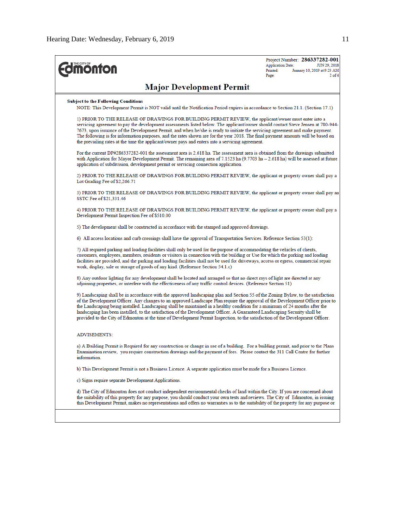| <b><i><u><u><b>MONTON</b></u></u></i></b>                                                                                                                                                                                                                                                                                                                                                                                                                                                                                                                                                                                                                          | Project Number: 286337282-001<br><b>Application Date:</b><br>JUN 29, 2018<br>Printed:<br>January 10, 2019 at 9:23 AM<br>Page:<br>$2$ of $4$ |
|--------------------------------------------------------------------------------------------------------------------------------------------------------------------------------------------------------------------------------------------------------------------------------------------------------------------------------------------------------------------------------------------------------------------------------------------------------------------------------------------------------------------------------------------------------------------------------------------------------------------------------------------------------------------|---------------------------------------------------------------------------------------------------------------------------------------------|
| <b>Major Development Permit</b>                                                                                                                                                                                                                                                                                                                                                                                                                                                                                                                                                                                                                                    |                                                                                                                                             |
| <b>Subject to the Following Conditions</b><br>NOTE: This Development Permit is NOT valid until the Notification Period expires in accordance to Section 21.1. (Section 17.1)                                                                                                                                                                                                                                                                                                                                                                                                                                                                                       |                                                                                                                                             |
| 1) PRIOR TO THE RELEASE OF DRAWINGS FOR BUILDING PERMIT REVIEW, the applicant/owner must enter into a<br>servicing agreement to pay the development assessments listed below. The applicant/owner should contact Steve Jensen at 780-944-<br>7673, upon issuance of the Development Permit, and when he/she is ready to initiate the servicing agreement and make payment.<br>The following is for information purposes, and the rates shown are for the year 2018. The final payment amounts will be based on<br>the prevailing rates at the time the applicant/owner pays and enters into a servicing agreement.                                                 |                                                                                                                                             |
| For the current DP#286337282-001 the assessment area is 2.618 ha. The assessment area is obtained from the drawings submitted<br>with Application for Mayor Development Permit. The remaining area of 7.1523 ha (9.7703 ha – 2.618 ha) will be assessed at future<br>application of subdivision, development permit or servicing connection application.                                                                                                                                                                                                                                                                                                           |                                                                                                                                             |
| 2) PRIOR TO THE RELEASE OF DRAWINGS FOR BUILDING PERMIT REVIEW, the applicant or property owner shall pay a<br>Lot Grading Fee of \$2,266.71                                                                                                                                                                                                                                                                                                                                                                                                                                                                                                                       |                                                                                                                                             |
| 3) PRIOR TO THE RELEASE OF DRAWINGS FOR BUILDING PERMIT REVIEW, the applicant or property owner shall pay an<br>SSTC Fee of \$21,331.46                                                                                                                                                                                                                                                                                                                                                                                                                                                                                                                            |                                                                                                                                             |
| 4) PRIOR TO THE RELEASE OF DRAWINGS FOR BUILDING PERMIT REVIEW, the applicant or property owner shall pay a<br>Development Permit Inspection Fee of \$510.00                                                                                                                                                                                                                                                                                                                                                                                                                                                                                                       |                                                                                                                                             |
| 5) The development shall be constructed in accordance with the stamped and approved drawings.                                                                                                                                                                                                                                                                                                                                                                                                                                                                                                                                                                      |                                                                                                                                             |
| 6) All access locations and curb crossings shall have the approval of Transportation Services. Reference Section 53(1):                                                                                                                                                                                                                                                                                                                                                                                                                                                                                                                                            |                                                                                                                                             |
| 7) All required parking and loading facilities shall only be used for the purpose of accommodating the vehicles of clients,<br>customers, employees, members, residents or visitors in connection with the building or Use for which the parking and loading<br>facilities are provided, and the parking and loading facilities shall not be used for driveways, access or egress, commercial repair<br>work, display, sale or storage of goods of any kind. (Reference Section 54.1.c)                                                                                                                                                                            |                                                                                                                                             |
| 8) Any outdoor lighting for any development shall be located and arranged so that no direct rays of light are directed at any<br>adjoining properties, or interfere with the effectiveness of any traffic control devices. (Reference Section 51)                                                                                                                                                                                                                                                                                                                                                                                                                  |                                                                                                                                             |
| 9) Landscaping shall be in accordance with the approved landscaping plan and Section 55 of the Zoning Bylaw, to the satisfaction<br>of the Development Officer. Any changes to an approved Landscape Plan require the approval of the Development Officer prior to<br>the Landscaping being installed. Landscaping shall be maintained in a healthy condition for a minimum of 24 months after the<br>landscaping has been installed, to the satisfaction of the Development Officer. A Guaranteed Landscaping Security shall be<br>provided to the City of Edmonton at the time of Development Permit Inspection, to the satisfaction of the Development Officer. |                                                                                                                                             |
| <b>ADVISEMENTS:</b>                                                                                                                                                                                                                                                                                                                                                                                                                                                                                                                                                                                                                                                |                                                                                                                                             |
| a) A Building Permit is Required for any construction or change in use of a building. For a building permit, and prior to the Plans<br>Examination review, you require construction drawings and the payment of fees. Please contact the 311 Call Centre for further<br>information.                                                                                                                                                                                                                                                                                                                                                                               |                                                                                                                                             |
| b) This Development Permit is not a Business Licence. A separate application must be made for a Business Licence.                                                                                                                                                                                                                                                                                                                                                                                                                                                                                                                                                  |                                                                                                                                             |
| c) Signs require separate Development Applications.                                                                                                                                                                                                                                                                                                                                                                                                                                                                                                                                                                                                                |                                                                                                                                             |
| d) The City of Edmonton does not conduct independent environmental checks of land within the City. If you are concerned about<br>the suitability of this property for any purpose, you should conduct your own tests and reviews. The City of Edmonton, in issuing<br>this Development Permit, makes no representations and offers no warranties as to the suitability of the property for any purpose or                                                                                                                                                                                                                                                          |                                                                                                                                             |
|                                                                                                                                                                                                                                                                                                                                                                                                                                                                                                                                                                                                                                                                    |                                                                                                                                             |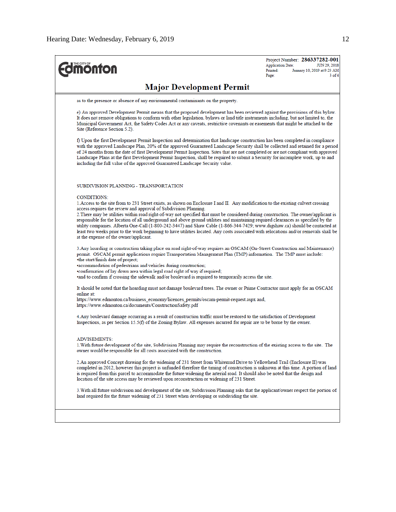Project Number: 286337282-001 **Edition** fon JUN 29, 2018 **Application Date:** January 10, 2019 at 9:23 AM Printed: Page:  $3$  of 4 **Major Development Permit** as to the presence or absence of any environmental contaminants on the property. e) An approved Development Permit means that the proposed development has been reviewed against the provisions of this bylaw. It does not remove obligations to conform with other legislation, bylaws or land title instruments including, but not limited to, the Municipal Government Act, the Safety Codes Act or any caveats, restrictive covenants or easements that might be attached to the Site (Reference Section 5.2). f) Upon the first Development Permit Inspection and determination that landscape construction has been completed in compliance with the approved Landscape Plan, 20% of the approved Guaranteed Landscape Security shall be collected and retained for a period of 24 months from the date of first Development Permit Inspection. Sites that are not completed or are not compliant with approved Landscape Plans at the first Development Permit Inspection, shall be required to submit a Security for incomplete work, up to and including the full value of the approved Guaranteed Landscape Security value. SUBDIVISION PLANNING - TRANSPORTATION **CONDITIONS:** 1. Access to the site from to 231 Street exists, as shown on Enclosure I and II. Any modification to the existing culvert crossing access requires the review and approval of Subdivision Planning. 2. There may be utilities within road right-of-way not specified that must be considered during construction. The owner/applicant is responsible for the location of all underground and above ground utilities and maintaining required clearances as specified by the utility companies. Alberta One-Call (1-800-242-3447) and Shaw Cable (1-866-344-7429; www.digshaw.ca) should be contacted at least two weeks prior to the work beginning to have utilities located. Any costs associated with relocations and/or removals shall be at the expense of the owner/applicant. 3. Any hoarding or construction taking place on road right-of-way requires an OSCAM (On-Street Construction and Maintenance) permit. OSCAM permit applications require Transportation Management Plan (TMP) information. The TMP must include: •the start/finish date of project; ·accommodation of pedestrians and vehicles during construction; .confirmation of lay down area within legal road right of way if required; and to confirm if crossing the sidewalk and/or boulevard is required to temporarily access the site. It should be noted that the hoarding must not damage boulevard trees. The owner or Prime Contractor must apply for an OSCAM online at: https://www.edmonton.ca/business\_economy/licences\_permits/oscam-permit-request.aspx and, https://www.edmonton.ca/documents/ConstructionSafety.pdf 4. Any boulevard damage occurring as a result of construction traffic must be restored to the satisfaction of Development Inspections, as per Section 15.5(f) of the Zoning Bylaw. All expenses incurred for repair are to be borne by the owner. **ADVISEMENTS:** 1. With future development of the site, Subdivision Planning may require the reconstruction of the existing access to the site. The owner would be responsible for all costs associated with the construction. 2.An approved Concept drawing for the widening of 231 Street from Whitemud Drive to Yellowhead Trail (Enclosure II) was completed in 2012, however this project is unfunded therefore the timing of construction is unknown at this time. A portion of land is required from this parcel to accommodate the future widening the arterial road. It should also be noted that the design and location of the site access may be reviewed upon reconstruction or widening of 231 Street. 3. With all future subdivision and development of the site, Subdivision Planning asks that the applicant/owner respect the portion of land required for the future widening of 231 Street when developing or subdividing the site.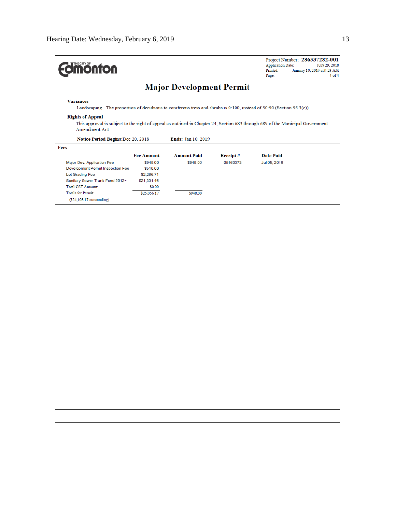| <b>Imonton</b>                                                                                                                                                              |                   |                                 |                 | <b>Application Date:</b><br>Printed:<br>Page: | Project Number: 286337282-001<br>JUN 29, 2018<br>January 10, 2019 at 9:23 AM<br>4 of 4 |
|-----------------------------------------------------------------------------------------------------------------------------------------------------------------------------|-------------------|---------------------------------|-----------------|-----------------------------------------------|----------------------------------------------------------------------------------------|
|                                                                                                                                                                             |                   | <b>Major Development Permit</b> |                 |                                               |                                                                                        |
| <b>Variances</b><br>Landscaping - The proportion of deciduous to coniferous tress and shrubs is 0:100, instead of 50:50 (Section 55.3(c))                                   |                   |                                 |                 |                                               |                                                                                        |
| <b>Rights of Appeal</b><br>This approval is subject to the right of appeal as outlined in Chapter 24, Section 683 through 689 of the Municipal Government<br>Amendment Act. |                   |                                 |                 |                                               |                                                                                        |
| Notice Period Begins: Dec 20, 2018                                                                                                                                          |                   |                                 |                 |                                               |                                                                                        |
| Fees                                                                                                                                                                        |                   |                                 |                 |                                               |                                                                                        |
|                                                                                                                                                                             | <b>Fee Amount</b> | <b>Amount Paid</b>              | <b>Receipt#</b> | <b>Date Paid</b>                              |                                                                                        |
| Major Dev. Application Fee                                                                                                                                                  | \$948.00          | \$948.00                        | 05163373        | Jul 05, 2018                                  |                                                                                        |
| Development Permit Inspection Fee                                                                                                                                           | \$510.00          |                                 |                 |                                               |                                                                                        |
| Lot Grading Fee                                                                                                                                                             | \$2,266.71        |                                 |                 |                                               |                                                                                        |
| Sanitary Sewer Trunk Fund 2012+                                                                                                                                             | \$21,331.46       |                                 |                 |                                               |                                                                                        |
| Total GST Amount:                                                                                                                                                           | \$0.00            |                                 |                 |                                               |                                                                                        |
| <b>Totals for Permit:</b><br>$(S24, 108.17$ outstanding)                                                                                                                    | \$25,056.17       | \$948.00                        |                 |                                               |                                                                                        |
|                                                                                                                                                                             |                   |                                 |                 |                                               |                                                                                        |
|                                                                                                                                                                             |                   |                                 |                 |                                               |                                                                                        |
|                                                                                                                                                                             |                   |                                 |                 |                                               |                                                                                        |
|                                                                                                                                                                             |                   |                                 |                 |                                               |                                                                                        |
|                                                                                                                                                                             |                   |                                 |                 |                                               |                                                                                        |